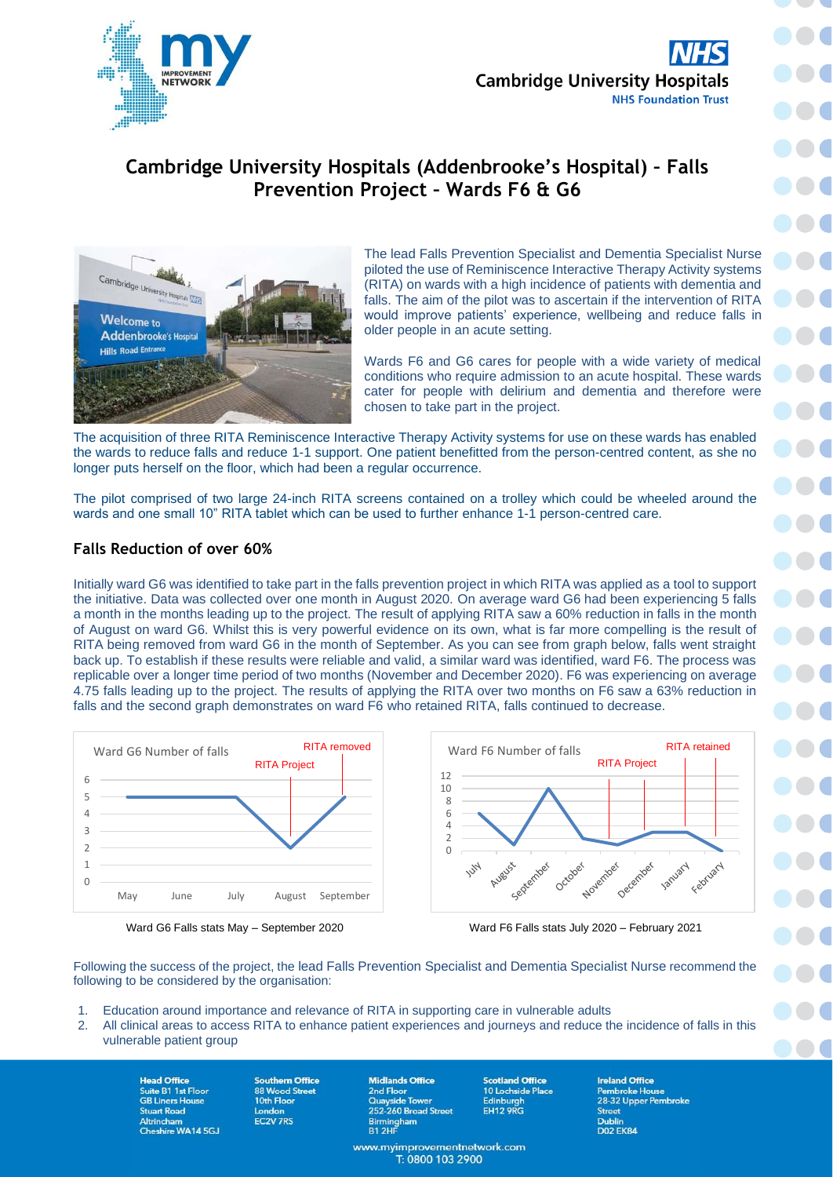

100

 $\bullet$ 

**DOC** 

# **Cambridge University Hospitals (Addenbrooke's Hospital) – Falls Prevention Project – Wards F6 & G6**



The lead Falls Prevention Specialist and Dementia Specialist Nurse piloted the use of Reminiscence Interactive Therapy Activity systems (RITA) on wards with a high incidence of patients with dementia and falls. The aim of the pilot was to ascertain if the intervention of RITA would improve patients' experience, wellbeing and reduce falls in older people in an acute setting.

Wards F6 and G6 cares for people with a wide variety of medical conditions who require admission to an acute hospital. These wards cater for people with delirium and dementia and therefore were chosen to take part in the project.

The acquisition of three RITA Reminiscence Interactive Therapy Activity systems for use on these wards has enabled the wards to reduce falls and reduce 1-1 support. One patient benefitted from the person-centred content, as she no longer puts herself on the floor, which had been a regular occurrence.

The pilot comprised of two large 24-inch RITA screens contained on a trolley which could be wheeled around the wards and one small 10" RITA tablet which can be used to further enhance 1-1 person-centred care.

## **Falls Reduction of over 60%**

Initially ward G6 was identified to take part in the falls prevention project in which RITA was applied as a tool to support the initiative. Data was collected over one month in August 2020. On average ward G6 had been experiencing 5 falls a month in the months leading up to the project. The result of applying RITA saw a 60% reduction in falls in the month of August on ward G6. Whilst this is very powerful evidence on its own, what is far more compelling is the result of RITA being removed from ward G6 in the month of September. As you can see from graph below, falls went straight back up. To establish if these results were reliable and valid, a similar ward was identified, ward F6. The process was replicable over a longer time period of two months (November and December 2020). F6 was experiencing on average 4.75 falls leading up to the project. The results of applying the RITA over two months on F6 saw a 63% reduction in falls and the second graph demonstrates on ward F6 who retained RITA, falls continued to decrease.





Ward G6 Falls stats May – September 2020 Ward F6 Falls stats July 2020 – February 2021

Following the success of the project, the lead Falls Prevention Specialist and Dementia Specialist Nurse recommend the following to be considered by the organisation:

- 1. Education around importance and relevance of RITA in supporting care in vulnerable adults
- 2. All clinical areas to access RITA to enhance patient experiences and journeys and reduce the incidence of falls in this vulnerable patient group

**Head Office** Suite B1 1st Floor Stuart Road Altrincham<br>Cheshire WA14 5GJ

**Southern Office** 88 Wood Street London EC<sub>2V</sub> 7RS

**Midlands Office** 2nd Floor<br>
Cuayside Tower<br>
252-260 Broad Street Birmingham<br>B1 2HF

www.myimprovementnetwork.com<br>T: 0800 103 2900

**Scotland Office** 

10 Lochside Place Edinburgh<br>EH12 9RG

**Ireland Office Street Dublin D02 EK84**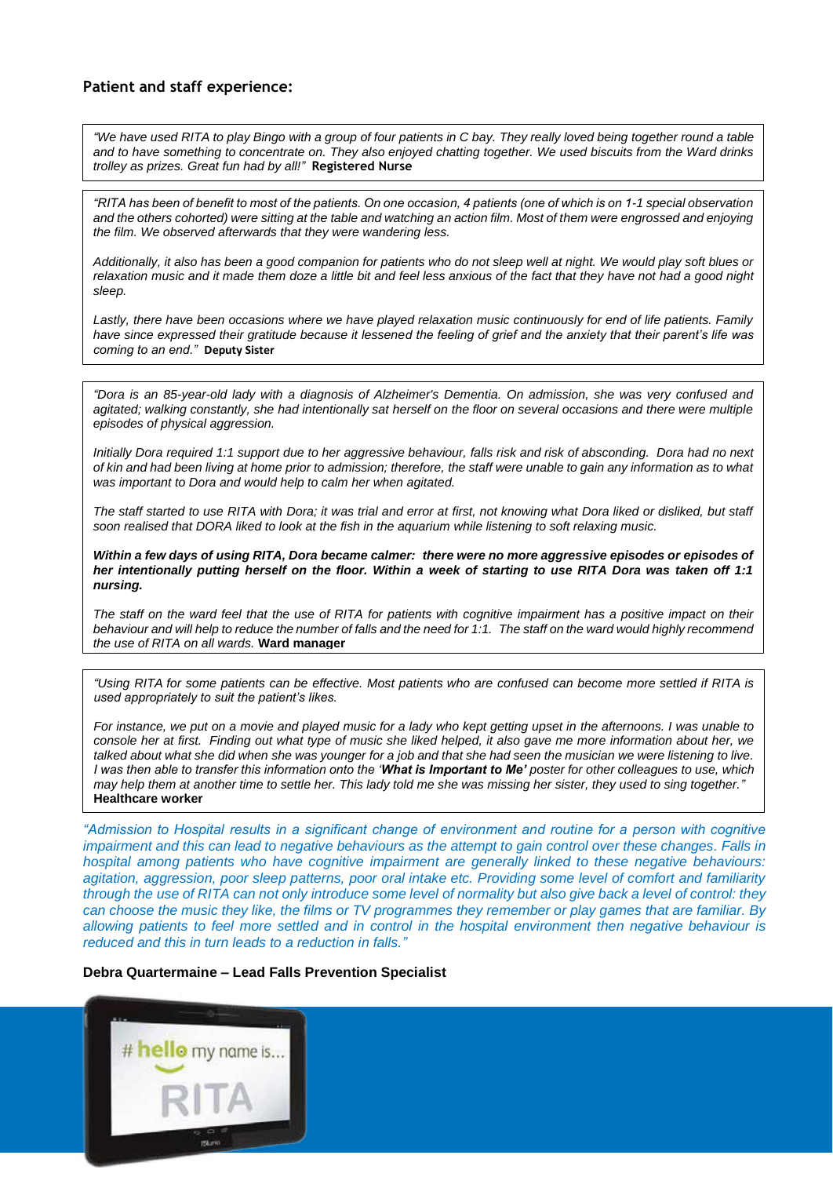### **Patient and staff experience:**

*"We have used RITA to play Bingo with a group of four patients in C bay. They really loved being together round a table and to have something to concentrate on. They also enjoyed chatting together. We used biscuits from the Ward drinks trolley as prizes. Great fun had by all!"* **Registered Nurse**

*"RITA has been of benefit to most of the patients. On one occasion, 4 patients (one of which is on 1-1 special observation and the others cohorted) were sitting at the table and watching an action film. Most of them were engrossed and enjoying the film. We observed afterwards that they were wandering less.*

*Additionally, it also has been a good companion for patients who do not sleep well at night. We would play soft blues or relaxation music and it made them doze a little bit and feel less anxious of the fact that they have not had a good night sleep.*

*Lastly, there have been occasions where we have played relaxation music continuously for end of life patients. Family have since expressed their gratitude because it lessened the feeling of grief and the anxiety that their parent's life was coming to an end."* **Deputy Sister**

*"Dora is an 85-year-old lady with a diagnosis of Alzheimer's Dementia. On admission, she was very confused and agitated; walking constantly, she had intentionally sat herself on the floor on several occasions and there were multiple episodes of physical aggression.* 

*Initially Dora required 1:1 support due to her aggressive behaviour, falls risk and risk of absconding. Dora had no next of kin and had been living at home prior to admission; therefore, the staff were unable to gain any information as to what was important to Dora and would help to calm her when agitated.*

*The staff started to use RITA with Dora; it was trial and error at first, not knowing what Dora liked or disliked, but staff soon realised that DORA liked to look at the fish in the aquarium while listening to soft relaxing music.* 

*Within a few days of using RITA, Dora became calmer: there were no more aggressive episodes or episodes of her intentionally putting herself on the floor. Within a week of starting to use RITA Dora was taken off 1:1 nursing.*

The staff on the ward feel that the use of RITA for patients with cognitive impairment has a positive impact on their *behaviour and will help to reduce the number of falls and the need for 1:1. The staff on the ward would highly recommend the use of RITA on all wards.* **Ward manager**

*"Using RITA for some patients can be effective. Most patients who are confused can become more settled if RITA is used appropriately to suit the patient's likes.*

*For instance, we put on a movie and played music for a lady who kept getting upset in the afternoons. I was unable to console her at first. Finding out what type of music she liked helped, it also gave me more information about her, we talked about what she did when she was younger for a job and that she had seen the musician we were listening to live. I was then able to transfer this information onto the 'What is Important to Me' poster for other colleagues to use, which may help them at another time to settle her. This lady told me she was missing her sister, they used to sing together."* **Healthcare worker**

*"Admission to Hospital results in a significant change of environment and routine for a person with cognitive impairment and this can lead to negative behaviours as the attempt to gain control over these changes. Falls in hospital among patients who have cognitive impairment are generally linked to these negative behaviours: agitation, aggression, poor sleep patterns, poor oral intake etc. Providing some level of comfort and familiarity through the use of RITA can not only introduce some level of normality but also give back a level of control: they can choose the music they like, the films or TV programmes they remember or play games that are familiar. By allowing patients to feel more settled and in control in the hospital environment then negative behaviour is reduced and this in turn leads to a reduction in falls."*

#### **Debra Quartermaine – Lead Falls Prevention Specialist**